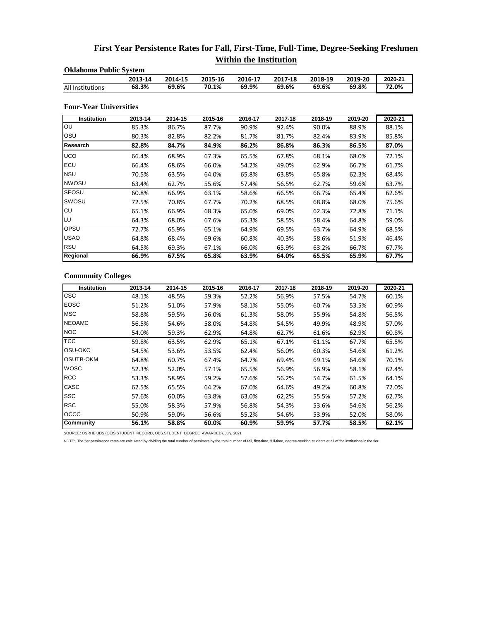## **First Year Persistence Rates for Fall, First-Time, Full-Time, Degree-Seeking Freshmen Within the Institution**

| <b>Oklahoma Public System</b> |         |         |         |         |         |         |         |         |  |  |
|-------------------------------|---------|---------|---------|---------|---------|---------|---------|---------|--|--|
|                               | 2013-14 | 2014-15 | 2015-16 | 2016-17 | 2017-18 | 2018-19 | 2019-20 | 2020-21 |  |  |
| All Institutions              | 68.3%   | 69.6%   | 70.1%   | 69.9%   | 69.6%   | 69.6%   | 69.8%   | 72.0%   |  |  |
| <b>Four-Year Universities</b> |         |         |         |         |         |         |         |         |  |  |
| Institution                   | 2013-14 | 2014-15 | 2015-16 | 2016-17 | 2017-18 | 2018-19 | 2019-20 | 2020-21 |  |  |
| OU                            | 85.3%   | 86.7%   | 87.7%   | 90.9%   | 92.4%   | 90.0%   | 88.9%   | 88.1%   |  |  |
| OSU                           | 80.3%   | 82.8%   | 82.2%   | 81.7%   | 81.7%   | 82.4%   | 83.9%   | 85.8%   |  |  |
| Research                      | 82.8%   | 84.7%   | 84.9%   | 86.2%   | 86.8%   | 86.3%   | 86.5%   | 87.0%   |  |  |
| <b>UCO</b>                    | 66.4%   | 68.9%   | 67.3%   | 65.5%   | 67.8%   | 68.1%   | 68.0%   | 72.1%   |  |  |
| ECU                           | 66.4%   | 68.6%   | 66.0%   | 54.2%   | 49.0%   | 62.9%   | 66.7%   | 61.7%   |  |  |
| <b>NSU</b>                    | 70.5%   | 63.5%   | 64.0%   | 65.8%   | 63.8%   | 65.8%   | 62.3%   | 68.4%   |  |  |
| <b>NWOSU</b>                  | 63.4%   | 62.7%   | 55.6%   | 57.4%   | 56.5%   | 62.7%   | 59.6%   | 63.7%   |  |  |
| SEOSU                         | 60.8%   | 66.9%   | 63.1%   | 58.6%   | 66.5%   | 66.7%   | 65.4%   | 62.6%   |  |  |
| SWOSU                         | 72.5%   | 70.8%   | 67.7%   | 70.2%   | 68.5%   | 68.8%   | 68.0%   | 75.6%   |  |  |
| CU                            | 65.1%   | 66.9%   | 68.3%   | 65.0%   | 69.0%   | 62.3%   | 72.8%   | 71.1%   |  |  |
| LU                            | 64.3%   | 68.0%   | 67.6%   | 65.3%   | 58.5%   | 58.4%   | 64.8%   | 59.0%   |  |  |
| OPSU                          | 72.7%   | 65.9%   | 65.1%   | 64.9%   | 69.5%   | 63.7%   | 64.9%   | 68.5%   |  |  |
| <b>USAO</b>                   | 64.8%   | 68.4%   | 69.6%   | 60.8%   | 40.3%   | 58.6%   | 51.9%   | 46.4%   |  |  |
| <b>RSU</b>                    | 64.5%   | 69.3%   | 67.1%   | 66.0%   | 65.9%   | 63.2%   | 66.7%   | 67.7%   |  |  |
| Regional                      | 66.9%   | 67.5%   | 65.8%   | 63.9%   | 64.0%   | 65.5%   | 65.9%   | 67.7%   |  |  |

## **Community Colleges**

| Institution      | 2013-14 | 2014-15 | 2015-16 | 2016-17 | 2017-18 | 2018-19 | 2019-20 | 2020-21 |
|------------------|---------|---------|---------|---------|---------|---------|---------|---------|
| <b>CSC</b>       | 48.1%   | 48.5%   | 59.3%   | 52.2%   | 56.9%   | 57.5%   | 54.7%   | 60.1%   |
| <b>EOSC</b>      | 51.2%   | 51.0%   | 57.9%   | 58.1%   | 55.0%   | 60.7%   | 53.5%   | 60.9%   |
| <b>MSC</b>       | 58.8%   | 59.5%   | 56.0%   | 61.3%   | 58.0%   | 55.9%   | 54.8%   | 56.5%   |
| <b>NEOAMC</b>    | 56.5%   | 54.6%   | 58.0%   | 54.8%   | 54.5%   | 49.9%   | 48.9%   | 57.0%   |
| <b>NOC</b>       | 54.0%   | 59.3%   | 62.9%   | 64.8%   | 62.7%   | 61.6%   | 62.9%   | 60.8%   |
| <b>TCC</b>       | 59.8%   | 63.5%   | 62.9%   | 65.1%   | 67.1%   | 61.1%   | 67.7%   | 65.5%   |
| OSU-OKC          | 54.5%   | 53.6%   | 53.5%   | 62.4%   | 56.0%   | 60.3%   | 54.6%   | 61.2%   |
| <b>OSUTB-OKM</b> | 64.8%   | 60.7%   | 67.4%   | 64.7%   | 69.4%   | 69.1%   | 64.6%   | 70.1%   |
| <b>WOSC</b>      | 52.3%   | 52.0%   | 57.1%   | 65.5%   | 56.9%   | 56.9%   | 58.1%   | 62.4%   |
| <b>RCC</b>       | 53.3%   | 58.9%   | 59.2%   | 57.6%   | 56.2%   | 54.7%   | 61.5%   | 64.1%   |
| CASC             | 62.5%   | 65.5%   | 64.2%   | 67.0%   | 64.6%   | 49.2%   | 60.8%   | 72.0%   |
| <b>SSC</b>       | 57.6%   | 60.0%   | 63.8%   | 63.0%   | 62.2%   | 55.5%   | 57.2%   | 62.7%   |
| <b>RSC</b>       | 55.0%   | 58.3%   | 57.9%   | 56.8%   | 54.3%   | 53.6%   | 54.6%   | 56.2%   |
| OCCC             | 50.9%   | 59.0%   | 56.6%   | 55.2%   | 54.6%   | 53.9%   | 52.0%   | 58.0%   |
| Community        | 56.1%   | 58.8%   | 60.0%   | 60.9%   | 59.9%   | 57.7%   | 58.5%   | 62.1%   |

SOURCE: OSRHE UDS (OEIS.STUDENT\_RECORD, ODS.STUDENT\_DEGREE\_AWARDED), July, 2021

NOTE: The tier persistence rates are calculated by dividing the total number of persisters by the total number of fall, first-time, full-time, degree-seeking students at all of the institutions in the tier.